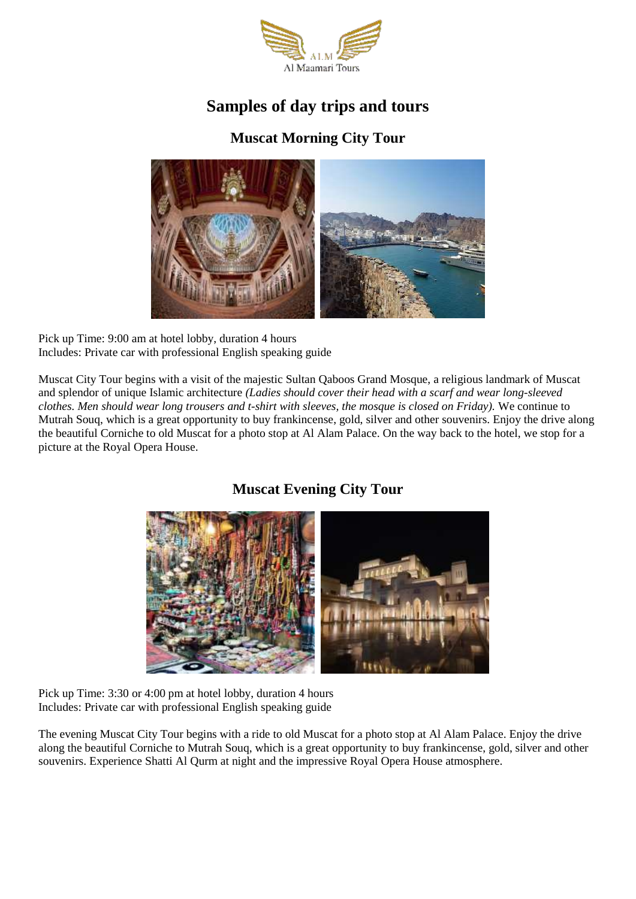

# **Samples of day trips and tours**

## **Muscat Morning City Tour**



Pick up Time: 9:00 am at hotel lobby, duration 4 hours Includes: Private car with professional English speaking guide

Muscat City Tour begins with a visit of the majestic Sultan Qaboos Grand Mosque, a religious landmark of Muscat and splendor of unique Islamic architecture *(Ladies should cover their head with a scarf and wear long-sleeved clothes. Men should wear long trousers and t-shirt with sleeves, the mosque is closed on Friday).* We continue to Mutrah Souq, which is a great opportunity to buy frankincense, gold, silver and other souvenirs. Enjoy the drive along the beautiful Corniche to old Muscat for a photo stop at Al Alam Palace. On the way back to the hotel, we stop for a picture at the Royal Opera House.

## **Muscat Evening City Tour**



Pick up Time: 3:30 or 4:00 pm at hotel lobby, duration 4 hours Includes: Private car with professional English speaking guide

The evening Muscat City Tour begins with a ride to old Muscat for a photo stop at Al Alam Palace. Enjoy the drive along the beautiful Corniche to Mutrah Souq, which is a great opportunity to buy frankincense, gold, silver and other souvenirs. Experience Shatti Al Qurm at night and the impressive Royal Opera House atmosphere.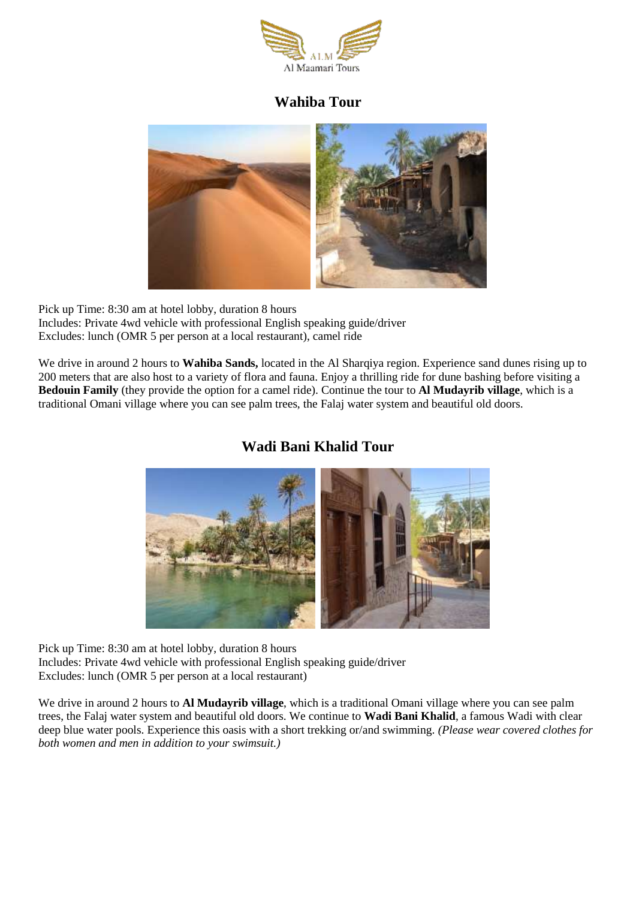

#### **Wahiba Tour**



Pick up Time: 8:30 am at hotel lobby, duration 8 hours Includes: Private 4wd vehicle with professional English speaking guide/driver Excludes: lunch (OMR 5 per person at a local restaurant), camel ride

We drive in around 2 hours to **Wahiba Sands,** located in the Al Sharqiya region. Experience sand dunes rising up to 200 meters that are also host to a variety of flora and fauna. Enjoy a thrilling ride for dune bashing before visiting a **Bedouin Family** (they provide the option for a camel ride). Continue the tour to **Al Mudayrib village**, which is a traditional Omani village where you can see palm trees, the Falaj water system and beautiful old doors.

#### **Wadi Bani Khalid Tour**



Pick up Time: 8:30 am at hotel lobby, duration 8 hours Includes: Private 4wd vehicle with professional English speaking guide/driver Excludes: lunch (OMR 5 per person at a local restaurant)

We drive in around 2 hours to **Al Mudayrib village**, which is a traditional Omani village where you can see palm trees, the Falaj water system and beautiful old doors. We continue to **Wadi Bani Khalid**, a famous Wadi with clear deep blue water pools. Experience this oasis with a short trekking or/and swimming. *(Please wear covered clothes for both women and men in addition to your swimsuit.)*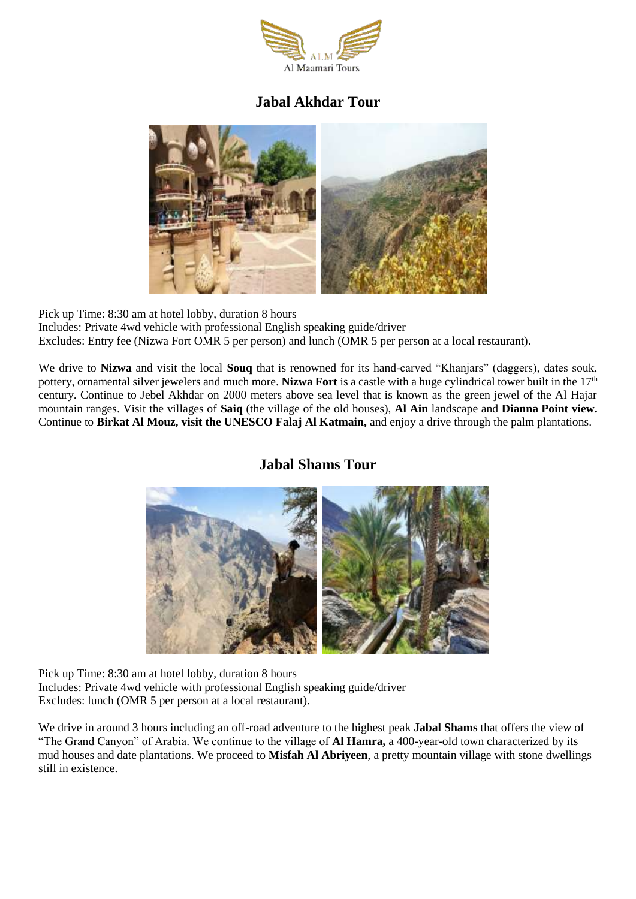

## **Jabal Akhdar Tour**



Pick up Time: 8:30 am at hotel lobby, duration 8 hours Includes: Private 4wd vehicle with professional English speaking guide/driver Excludes: Entry fee (Nizwa Fort OMR 5 per person) and lunch (OMR 5 per person at a local restaurant).

We drive to **Nizwa** and visit the local **Souq** that is renowned for its hand-carved "Khanjars" (daggers), dates souk, pottery, ornamental silver jewelers and much more. **Nizwa Fort** is a castle with a huge cylindrical tower built in the 17<sup>th</sup> century. Continue to Jebel Akhdar on 2000 meters above sea level that is known as the green jewel of the Al Hajar mountain ranges. Visit the villages of **Saiq** (the village of the old houses), **Al Ain** landscape and **Dianna Point view.**  Continue to **Birkat Al Mouz, visit the UNESCO Falaj Al Katmain,** and enjoy a drive through the palm plantations.

## **Jabal Shams Tour**



Pick up Time: 8:30 am at hotel lobby, duration 8 hours Includes: Private 4wd vehicle with professional English speaking guide/driver Excludes: lunch (OMR 5 per person at a local restaurant).

We drive in around 3 hours including an off-road adventure to the highest peak **Jabal Shams** that offers the view of "The Grand Canyon" of Arabia. We continue to the village of **Al Hamra,** a 400-year-old town characterized by its mud houses and date plantations. We proceed to **Misfah Al Abriyeen**, a pretty mountain village with stone dwellings still in existence.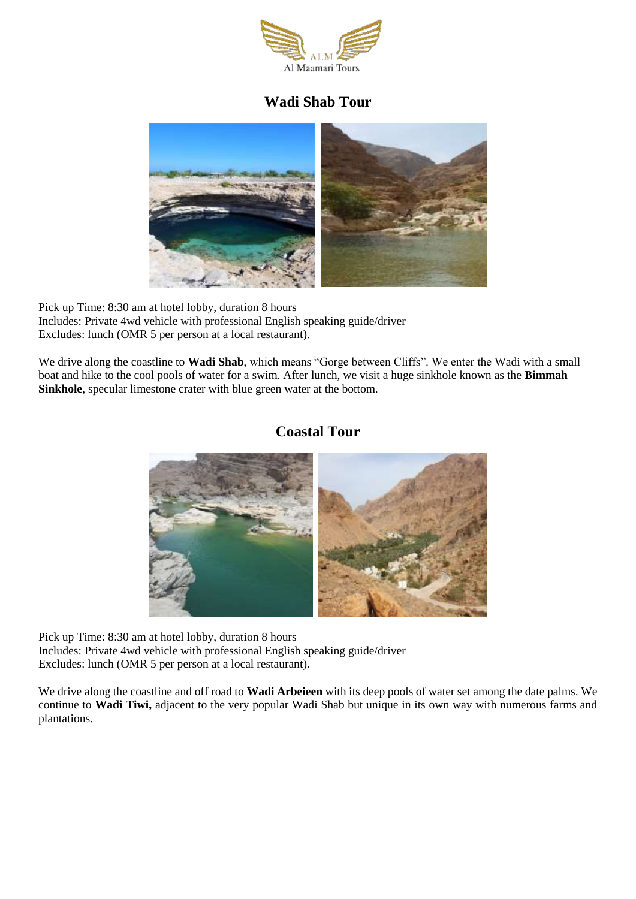

#### **Wadi Shab Tour**



Pick up Time: 8:30 am at hotel lobby, duration 8 hours Includes: Private 4wd vehicle with professional English speaking guide/driver Excludes: lunch (OMR 5 per person at a local restaurant).

We drive along the coastline to **Wadi Shab**, which means "Gorge between Cliffs". We enter the Wadi with a small boat and hike to the cool pools of water for a swim. After lunch, we visit a huge sinkhole known as the **Bimmah Sinkhole**, specular limestone crater with blue green water at the bottom.

#### **Coastal Tour**



Pick up Time: 8:30 am at hotel lobby, duration 8 hours Includes: Private 4wd vehicle with professional English speaking guide/driver Excludes: lunch (OMR 5 per person at a local restaurant).

We drive along the coastline and off road to **Wadi Arbeieen** with its deep pools of water set among the date palms. We continue to **Wadi Tiwi,** adjacent to the very popular Wadi Shab but unique in its own way with numerous farms and plantations.